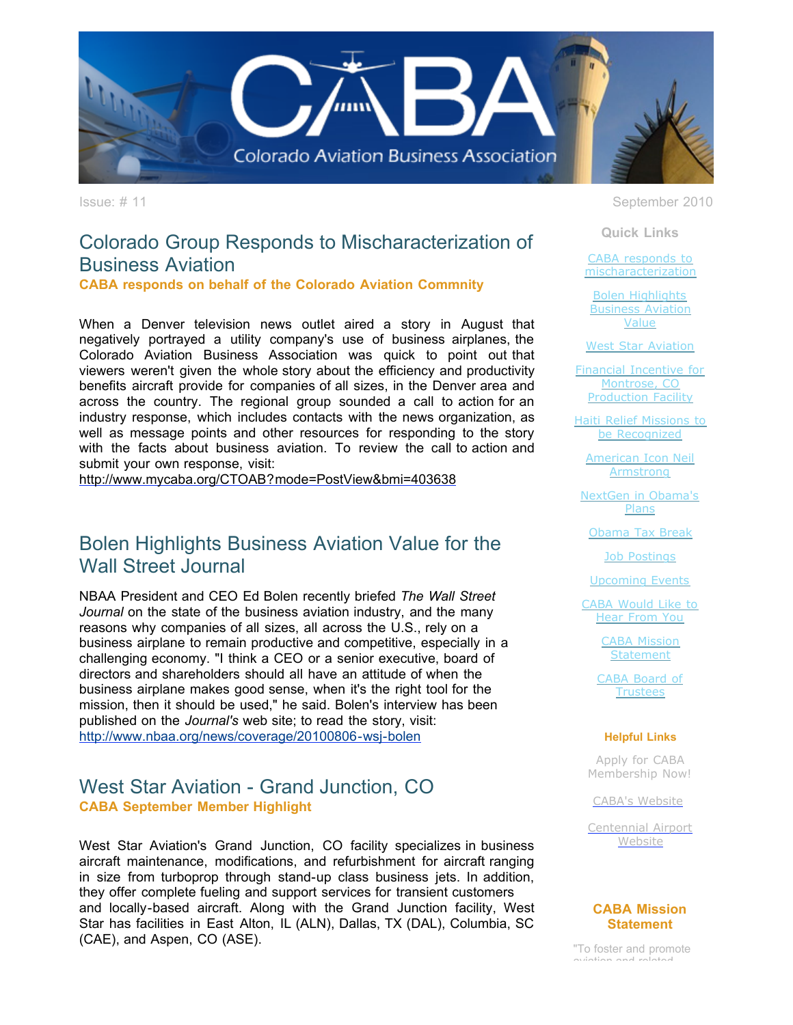

# Colorado Group Responds to Mischaracterization of Business Aviation

**CABA responds on behalf of the Colorado Aviation Commnity** 

When a Denver television news outlet aired a story in August that negatively portrayed a utility company's use of business airplanes, the Colorado Aviation Business Association was quick to point out that viewers weren't given the whole story about the efficiency and productivity benefits aircraft provide for companies of all sizes, in the Denver area and across the country. The regional group sounded a call to action for an industry response, which includes contacts with the news organization, as well as message points and other resources for responding to the story with the facts about business aviation. To review the call to action and submit your own response, visit:

[http://www.mycaba.org/CTOAB?mode=PostView&bmi=403638](http://r20.rs6.net/tn.jsp?llr=tkebgpcab&et=1103609681480&s=0&e=001dBA-NUH8CevmYhjsUk2WO4owgoIo0HnEFFwmw1swcJVRJtA1THOPbYWkWY1teTktURaN-dT8-C1U0S6oFBL_IgfYa28kNwfdwLM33-Hn-0Wn9mGTp7KV9w5uZzW3qSRNxj1MsGC1cfe9FtOeKiC8LiWavxTqm-rK)

## Bolen Highlights Business Aviation Value for the Wall Street Journal

NBAA President and CEO Ed Bolen recently briefed *The Wall Street Journal* on the state of the business aviation industry, and the many reasons why companies of all sizes, all across the U.S., rely on a business airplane to remain productive and competitive, especially in a challenging economy. "I think a CEO or a senior executive, board of directors and shareholders should all have an attitude of when the business airplane makes good sense, when it's the right tool for the mission, then it should be used," he said. Bolen's interview has been published on the *Journal's* web site; to read the story, visit: [http://www.nbaa.org/news/coverage/20100806-wsj-bolen](http://r20.rs6.net/tn.jsp?llr=tkebgpcab&et=1103609681480&s=0&e=001dBA-NUH8CevmYhjsUk2WO4owgoIo0HnEFFwmw1swcJVRJtA1THOPbYWkWY1teTktURaN-dT8-C1U0S6oFBL_Is-Yh8MCojYpTsnM-dbM4mSqM61bDeJmCZDEfOrKjrYT1XMuj9fAS4d_r3H1xKXzh8AEcKJVOWgq)

## West Star Aviation - Grand Junction, CO **CABA September Member Highlight**

West Star Aviation's Grand Junction, CO facility specializes in business aircraft maintenance, modifications, and refurbishment for aircraft ranging in size from turboprop through stand-up class business jets. In addition, they offer complete fueling and support services for transient customers and locally-based aircraft. Along with the Grand Junction facility, West Star has facilities in East Alton, IL (ALN), Dallas, TX (DAL), Columbia, SC (CAE), and Aspen, CO (ASE).

Issue: # 11 September 2010

**Quick Links**

CABA responds to [mischaracterization](https://ui.constantcontact.com/visualeditor/visual_editor_preview.jsp?agent.uid=1103609681480&format=html&printFrame=true#LETTER.BLOCK4)

Bolen Highlights [Business Aviation](https://ui.constantcontact.com/visualeditor/visual_editor_preview.jsp?agent.uid=1103609681480&format=html&printFrame=true#LETTER.BLOCK9) Value

[West Star Aviation](https://ui.constantcontact.com/visualeditor/visual_editor_preview.jsp?agent.uid=1103609681480&format=html&printFrame=true#LETTER.BLOCK13)

[Financial Incentive for](https://ui.constantcontact.com/visualeditor/visual_editor_preview.jsp?agent.uid=1103609681480&format=html&printFrame=true#LETTER.BLOCK35) Montrose, CO Production Facility

[Haiti Relief Missions to](https://ui.constantcontact.com/visualeditor/visual_editor_preview.jsp?agent.uid=1103609681480&format=html&printFrame=true#LETTER.BLOCK11) be Recognized

[American Icon Neil](https://ui.constantcontact.com/visualeditor/visual_editor_preview.jsp?agent.uid=1103609681480&format=html&printFrame=true#LETTER.BLOCK6) Armstrong

[NextGen in Obama's](https://ui.constantcontact.com/visualeditor/visual_editor_preview.jsp?agent.uid=1103609681480&format=html&printFrame=true#LETTER.BLOCK31) Plans

[Obama Tax Break](https://ui.constantcontact.com/visualeditor/visual_editor_preview.jsp?agent.uid=1103609681480&format=html&printFrame=true#LETTER.BLOCK33)

[Job Postings](https://ui.constantcontact.com/visualeditor/visual_editor_preview.jsp?agent.uid=1103609681480&format=html&printFrame=true#LETTER.BLOCK15)

[Upcoming Events](https://ui.constantcontact.com/visualeditor/visual_editor_preview.jsp?agent.uid=1103609681480&format=html&printFrame=true#LETTER.BLOCK17)

[CABA Would Like to](https://ui.constantcontact.com/visualeditor/visual_editor_preview.jsp?agent.uid=1103609681480&format=html&printFrame=true#LETTER.BLOCK19) Hear From You

> [CABA Mission](https://ui.constantcontact.com/visualeditor/visual_editor_preview.jsp?agent.uid=1103609681480&format=html&printFrame=true#LETTER.BLOCK26) **Statement**

[CABA Board of](https://ui.constantcontact.com/visualeditor/visual_editor_preview.jsp?agent.uid=1103609681480&format=html&printFrame=true#LETTER.BLOCK28) Trustees

#### **Helpful Links**

Apply for CABA [Membership Now!](http://r20.rs6.net/tn.jsp?llr=tkebgpcab&et=1103609681480&s=0&e=001dBA-NUH8CevmYhjsUk2WO4owgoIo0HnEFFwmw1swcJVRJtA1THOPbYWkWY1teTktURaN-dT8-C1U0S6oFBL_IgfYa28kNwfdwLM33-Hn-0UhoPdBgzUmCwlMt8EDClN4O8fnMW8YD7fW5lDcMfpSqw==)

[CABA's Website](http://r20.rs6.net/tn.jsp?llr=tkebgpcab&et=1103609681480&s=0&e=001dBA-NUH8CevmYhjsUk2WO4owgoIo0HnEFFwmw1swcJVRJtA1THOPbYWkWY1teTktURaN-dT8-C1U0S6oFBL_IgfYa28kNwfdwLM33-Hn-0VpN0WFooiMag==)

[Centennial Airport](http://r20.rs6.net/tn.jsp?llr=tkebgpcab&et=1103609681480&s=0&e=001dBA-NUH8CevmYhjsUk2WO4owgoIo0HnEFFwmw1swcJVRJtA1THOPbYWkWY1teTktURaN-dT8-C1U0S6oFBL_ImqfNlJddEy2dZSLSgcuuWp0FR1mUvaWGjA7Ff-z7qTR) **Website** 

#### **CABA Mission Statement**

"To foster and promote aviation and related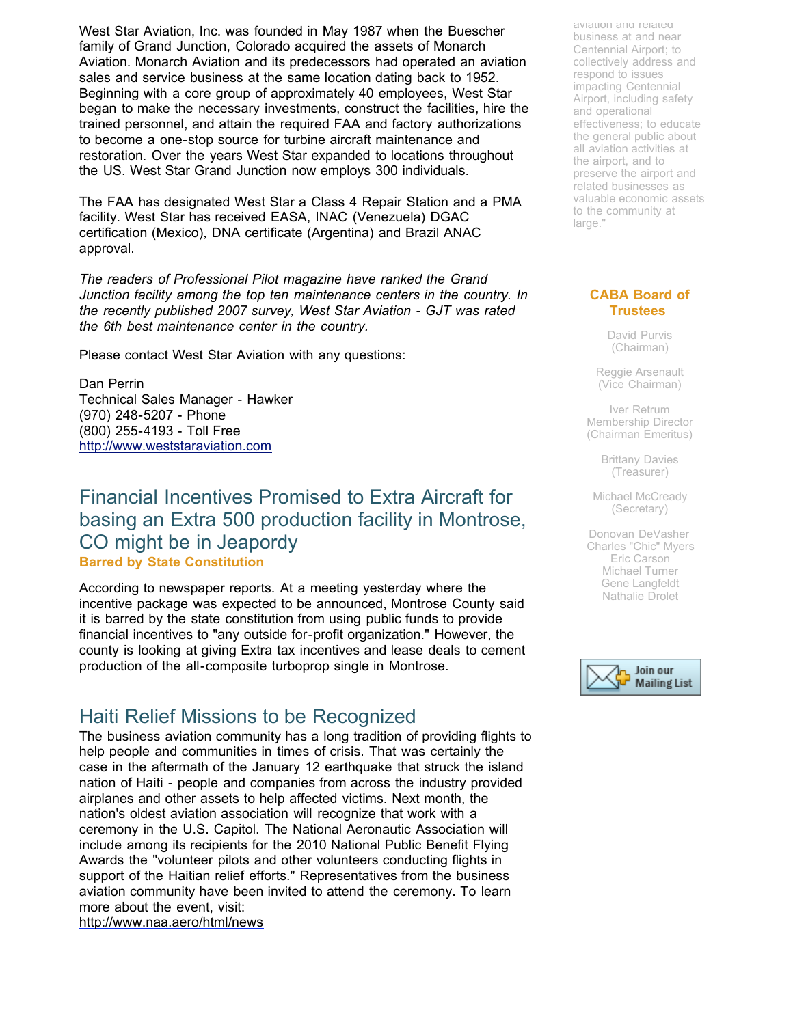West Star Aviation, Inc. was founded in May 1987 when the Buescher family of Grand Junction, Colorado acquired the assets of Monarch Aviation. Monarch Aviation and its predecessors had operated an aviation sales and service business at the same location dating back to 1952. Beginning with a core group of approximately 40 employees, West Star began to make the necessary investments, construct the facilities, hire the trained personnel, and attain the required FAA and factory authorizations to become a one-stop source for turbine aircraft maintenance and restoration. Over the years West Star expanded to locations throughout the US. West Star Grand Junction now employs 300 individuals.

The FAA has designated West Star a Class 4 Repair Station and a PMA facility. West Star has received EASA, INAC (Venezuela) DGAC certification (Mexico), DNA certificate (Argentina) and Brazil ANAC approval.

*The readers of Professional Pilot magazine have ranked the Grand Junction facility among the top ten maintenance centers in the country. In the recently published 2007 survey, West Star Aviation - GJT was rated the 6th best maintenance center in the country.*

Please contact West Star Aviation with any questions:

Dan Perrin Technical Sales Manager - Hawker (970) 248-5207 - Phone (800) 255-4193 - Toll Free [http://www.weststaraviation.com](http://r20.rs6.net/tn.jsp?llr=tkebgpcab&et=1103609681480&s=0&e=001dBA-NUH8CevmYhjsUk2WO4owgoIo0HnEFFwmw1swcJVRJtA1THOPbYWkWY1teTktURaN-dT8-C1U0S6oFBL_IvfwdXQAvT8BmHXEVtDAFXM3qjg7ydjZrUtyZo_GYmZu)

## Financial Incentives Promised to Extra Aircraft for basing an Extra 500 production facility in Montrose, CO might be in Jeapordy **Barred by State Constitution**

According to newspaper reports. At a meeting yesterday where the incentive package was expected to be announced, Montrose County said it is barred by the state constitution from using public funds to provide financial incentives to "any outside for-profit organization." However, the county is looking at giving Extra tax incentives and lease deals to cement production of the all-composite turboprop single in Montrose.

# Haiti Relief Missions to be Recognized

The business aviation community has a long tradition of providing flights to help people and communities in times of crisis. That was certainly the case in the aftermath of the January 12 earthquake that struck the island nation of Haiti - people and companies from across the industry provided airplanes and other assets to help affected victims. Next month, the nation's oldest aviation association will recognize that work with a ceremony in the U.S. Capitol. The National Aeronautic Association will include among its recipients for the 2010 National Public Benefit Flying Awards the "volunteer pilots and other volunteers conducting flights in support of the Haitian relief efforts." Representatives from the business aviation community have been invited to attend the ceremony. To learn more about the event, visit:

[http://www.naa.aero/html/news](http://r20.rs6.net/tn.jsp?llr=tkebgpcab&et=1103609681480&s=0&e=001dBA-NUH8CevmYhjsUk2WO4owgoIo0HnEFFwmw1swcJVRJtA1THOPbYWkWY1teTktURaN-dT8-C1U0S6oFBL_ImIwvuMBXVF4poG-vOTmvQIET-UMbcFoVf9p7vnUmjWH)

aviation and related business at and near Centennial Airport; to collectively address and respond to issues impacting Centennial Airport, including safety and operational effectiveness; to educate the general public about all aviation activities at the airport, and to preserve the airport and related businesses as valuable economic assets to the community at large."

#### **CABA Board of Trustees**

David Purvis (Chairman)

Reggie Arsenault (Vice Chairman)

Iver Retrum Membership Director (Chairman Emeritus)

> Brittany Davies (Treasurer)

Michael McCready (Secretary)

Donovan DeVasher Charles "Chic" Myers Eric Carson Michael Turner Gene Langfeldt Nathalie Drolet

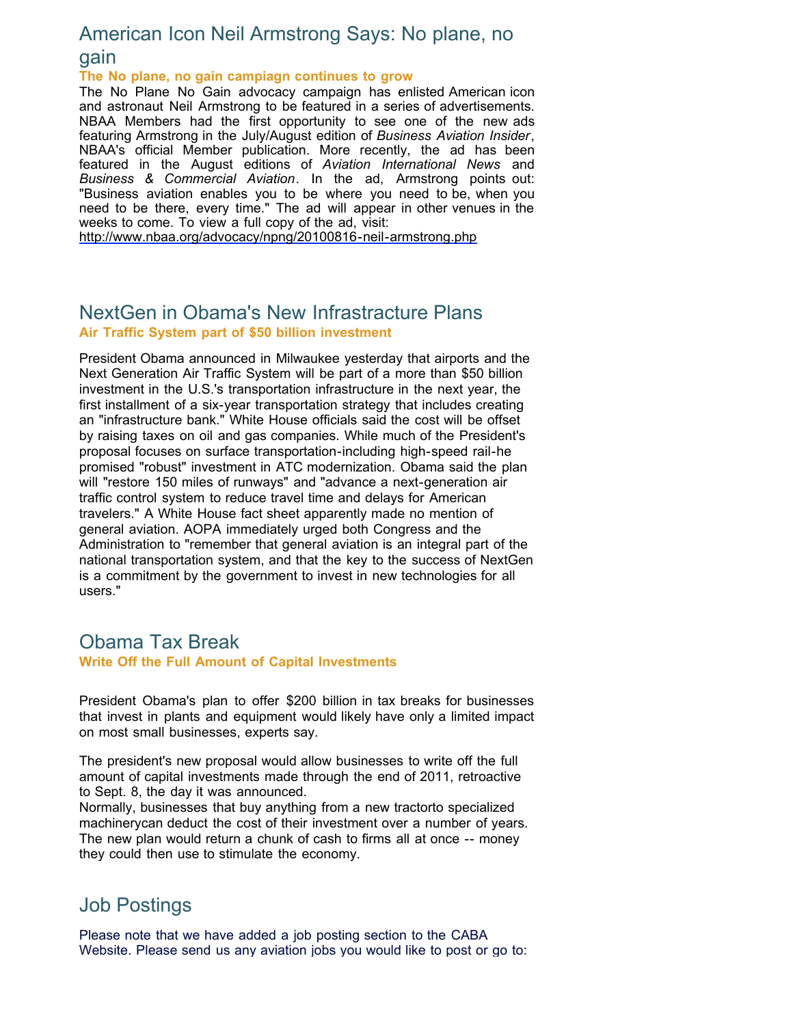## American Icon Neil Armstrong Says: No plane, no

## gain

#### **The No plane, no gain campiagn continues to grow**

The No Plane No Gain advocacy campaign has enlisted American icon and astronaut Neil Armstrong to be featured in a series of advertisements. NBAA Members had the first opportunity to see one of the new ads featuring Armstrong in the July/August edition of *Business Aviation Insider*, NBAA's official Member publication. More recently, the ad has been featured in the August editions of *Aviation International News* and *Business & Commercial Aviation*. In the ad, Armstrong points out: "Business aviation enables you to be where you need to be, when you need to be there, every time." The ad will appear in other venues in the weeks to come. To view a full copy of the ad, visit:

[http://www.nbaa.org/advocacy/npng/20100816-neil-armstrong.php](http://r20.rs6.net/tn.jsp?llr=tkebgpcab&et=1103609681480&s=0&e=001dBA-NUH8CevmYhjsUk2WO4owgoIo0HnEFFwmw1swcJVRJtA1THOPbYWkWY1teTktURaN-dT8-C1U0S6oFBL_Is-Yh8MCojYp_bnDEWAbHWYnDfhsk_l0F4eCfS0DCIQU4VBLAhNxQeW8cpwt6zszOstrySFa2VKFiVe0tYaHais=)

## NextGen in Obama's New Infrastracture Plans **Air Traffic System part of \$50 billion investment**

President Obama announced in Milwaukee yesterday that airports and the Next Generation Air Traffic System will be part of a more than \$50 billion investment in the U.S.'s transportation infrastructure in the next year, the first installment of a six-year transportation strategy that includes creating an "infrastructure bank." White House officials said the cost will be offset by raising taxes on oil and gas companies. While much of the President's proposal focuses on surface transportation-including high-speed rail-he promised "robust" investment in ATC modernization. Obama said the plan will "restore 150 miles of runways" and "advance a next-generation air traffic control system to reduce travel time and delays for American travelers." A White House fact sheet apparently made no mention of general aviation. AOPA immediately urged both Congress and the Administration to "remember that general aviation is an integral part of the national transportation system, and that the key to the success of NextGen is a commitment by the government to invest in new technologies for all users."

### Obama Tax Break **Write Off the Full Amount of Capital Investments**

President Obama's plan to offer \$200 billion in tax breaks for businesses that invest in plants and equipment would likely have only a limited impact on most small businesses, experts say.

The president's new proposal would allow businesses to write off the full amount of capital investments made through the end of 2011, retroactive to Sept. 8, the day it was announced.

Normally, businesses that buy anything from a new tractorto specialized machinerycan deduct the cost of their investment over a number of years. The new plan would return a chunk of cash to firms all at once -- money they could then use to stimulate the economy.

## Job Postings

Please note that we have added a job posting section to the CABA Website. Please send us any aviation jobs you would like to post or go to: